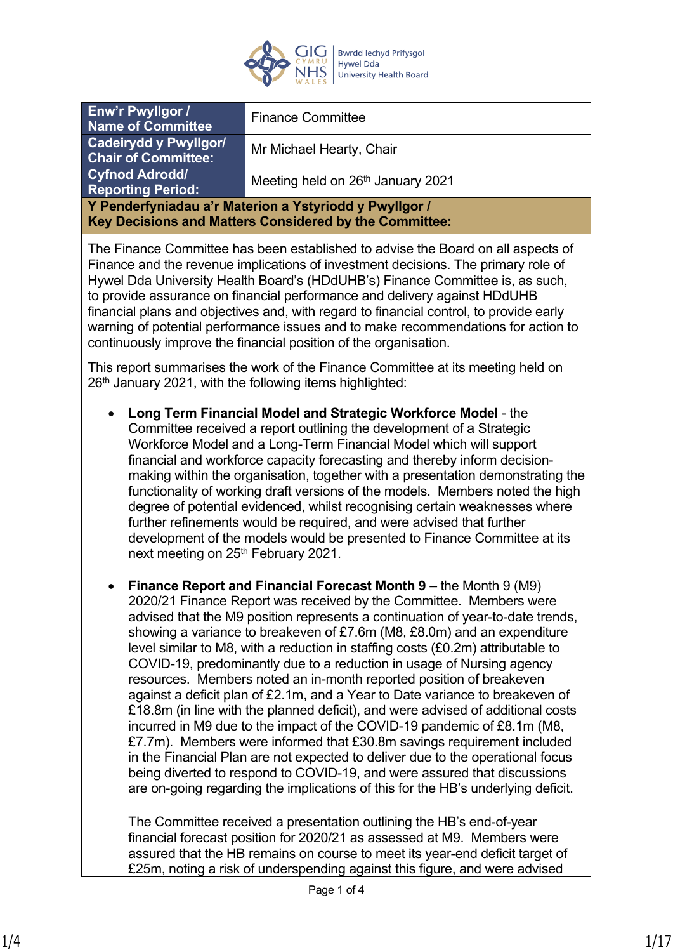

| Enw'r Pwyllgor /<br><b>Name of Committee</b>                                                                     | <b>Finance Committee</b>          |  |
|------------------------------------------------------------------------------------------------------------------|-----------------------------------|--|
| <b>Cadeirydd y Pwyllgor/</b><br><b>Chair of Committee:</b>                                                       | Mr Michael Hearty, Chair          |  |
| <b>Cyfnod Adrodd/</b><br><b>Reporting Period:</b>                                                                | Meeting held on 26th January 2021 |  |
| Y Penderfyniadau a'r Materion a Ystyriodd y Pwyllgor /<br>Key Decisions and Matters Considered by the Committee: |                                   |  |
|                                                                                                                  |                                   |  |

The Finance Committee has been established to advise the Board on all aspects of Finance and the revenue implications of investment decisions. The primary role of Hywel Dda University Health Board's (HDdUHB's) Finance Committee is, as such, to provide assurance on financial performance and delivery against HDdUHB financial plans and objectives and, with regard to financial control, to provide early warning of potential performance issues and to make recommendations for action to continuously improve the financial position of the organisation.

This report summarises the work of the Finance Committee at its meeting held on  $26<sup>th</sup>$  January 2021, with the following items highlighted:

- **Long Term Financial Model and Strategic Workforce Model** the Committee received a report outlining the development of a Strategic Workforce Model and a Long-Term Financial Model which will support financial and workforce capacity forecasting and thereby inform decisionmaking within the organisation, together with a presentation demonstrating the functionality of working draft versions of the models. Members noted the high degree of potential evidenced, whilst recognising certain weaknesses where further refinements would be required, and were advised that further development of the models would be presented to Finance Committee at its next meeting on 25<sup>th</sup> February 2021.
- **Finance Report and Financial Forecast Month 9** the Month 9 (M9) 2020/21 Finance Report was received by the Committee. Members were advised that the M9 position represents a continuation of year-to-date trends, showing a variance to breakeven of £7.6m (M8, £8.0m) and an expenditure level similar to M8, with a reduction in staffing costs (£0.2m) attributable to COVID-19, predominantly due to a reduction in usage of Nursing agency resources. Members noted an in-month reported position of breakeven against a deficit plan of £2.1m, and a Year to Date variance to breakeven of £18.8m (in line with the planned deficit), and were advised of additional costs incurred in M9 due to the impact of the COVID-19 pandemic of £8.1m (M8, £7.7m). Members were informed that £30.8m savings requirement included in the Financial Plan are not expected to deliver due to the operational focus being diverted to respond to COVID-19, and were assured that discussions are on-going regarding the implications of this for the HB's underlying deficit.

The Committee received a presentation outlining the HB's end-of-year financial forecast position for 2020/21 as assessed at M9. Members were assured that the HB remains on course to meet its year-end deficit target of £25m, noting a risk of underspending against this figure, and were advised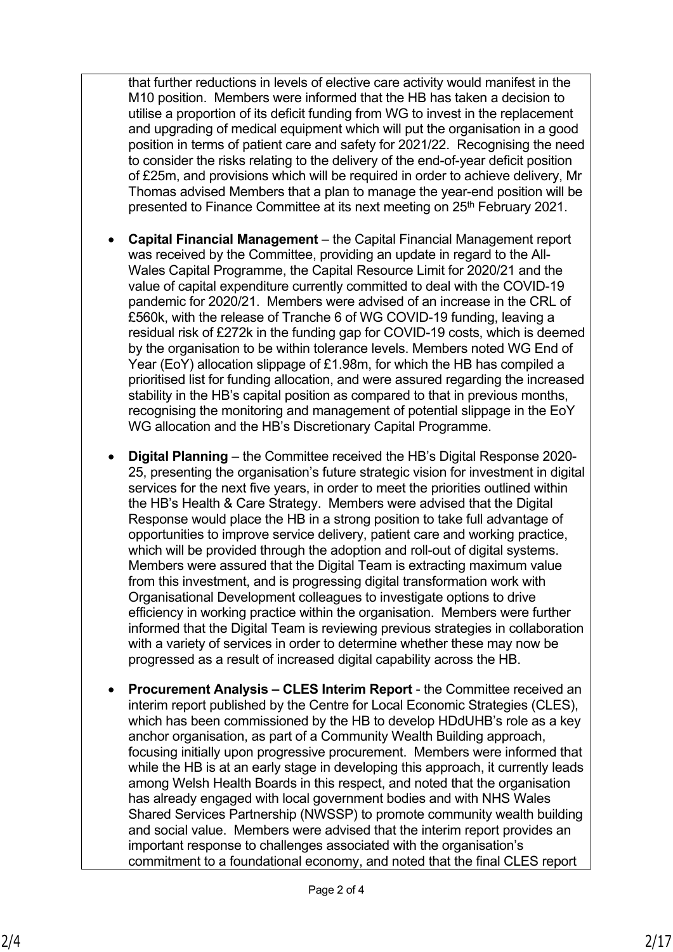that further reductions in levels of elective care activity would manifest in the M10 position. Members were informed that the HB has taken a decision to utilise a proportion of its deficit funding from WG to invest in the replacement and upgrading of medical equipment which will put the organisation in a good position in terms of patient care and safety for 2021/22. Recognising the need to consider the risks relating to the delivery of the end-of-year deficit position of £25m, and provisions which will be required in order to achieve delivery, Mr Thomas advised Members that a plan to manage the year-end position will be presented to Finance Committee at its next meeting on 25<sup>th</sup> February 2021.

- **Capital Financial Management**  the Capital Financial Management report was received by the Committee, providing an update in regard to the All-Wales Capital Programme, the Capital Resource Limit for 2020/21 and the value of capital expenditure currently committed to deal with the COVID-19 pandemic for 2020/21. Members were advised of an increase in the CRL of £560k, with the release of Tranche 6 of WG COVID-19 funding, leaving a residual risk of £272k in the funding gap for COVID-19 costs, which is deemed by the organisation to be within tolerance levels. Members noted WG End of Year (EoY) allocation slippage of £1.98m, for which the HB has compiled a prioritised list for funding allocation, and were assured regarding the increased stability in the HB's capital position as compared to that in previous months, recognising the monitoring and management of potential slippage in the EoY WG allocation and the HB's Discretionary Capital Programme.
- **Digital Planning** the Committee received the HB's Digital Response 2020- 25, presenting the organisation's future strategic vision for investment in digital services for the next five years, in order to meet the priorities outlined within the HB's Health & Care Strategy. Members were advised that the Digital Response would place the HB in a strong position to take full advantage of opportunities to improve service delivery, patient care and working practice, which will be provided through the adoption and roll-out of digital systems. Members were assured that the Digital Team is extracting maximum value from this investment, and is progressing digital transformation work with Organisational Development colleagues to investigate options to drive efficiency in working practice within the organisation. Members were further informed that the Digital Team is reviewing previous strategies in collaboration with a variety of services in order to determine whether these may now be progressed as a result of increased digital capability across the HB.
- **Procurement Analysis CLES Interim Report** the Committee received an interim report published by the Centre for Local Economic Strategies (CLES), which has been commissioned by the HB to develop HDdUHB's role as a key anchor organisation, as part of a Community Wealth Building approach, focusing initially upon progressive procurement. Members were informed that while the HB is at an early stage in developing this approach, it currently leads among Welsh Health Boards in this respect, and noted that the organisation has already engaged with local government bodies and with NHS Wales Shared Services Partnership (NWSSP) to promote community wealth building and social value. Members were advised that the interim report provides an important response to challenges associated with the organisation's commitment to a foundational economy, and noted that the final CLES report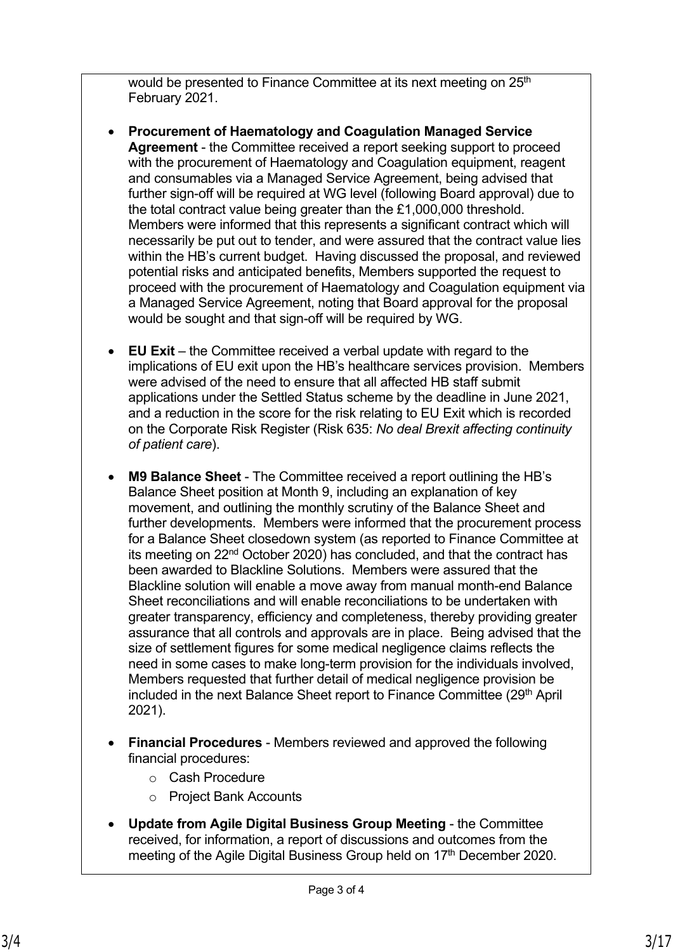would be presented to Finance Committee at its next meeting on 25<sup>th</sup> February 2021.

- **Procurement of Haematology and Coagulation Managed Service Agreement** - the Committee received a report seeking support to proceed with the procurement of Haematology and Coagulation equipment, reagent and consumables via a Managed Service Agreement, being advised that further sign-off will be required at WG level (following Board approval) due to the total contract value being greater than the £1,000,000 threshold. Members were informed that this represents a significant contract which will necessarily be put out to tender, and were assured that the contract value lies within the HB's current budget. Having discussed the proposal, and reviewed potential risks and anticipated benefits, Members supported the request to proceed with the procurement of Haematology and Coagulation equipment via a Managed Service Agreement, noting that Board approval for the proposal would be sought and that sign-off will be required by WG.
- **EU Exit** the Committee received a verbal update with regard to the implications of EU exit upon the HB's healthcare services provision. Members were advised of the need to ensure that all affected HB staff submit applications under the Settled Status scheme by the deadline in June 2021, and a reduction in the score for the risk relating to EU Exit which is recorded on the Corporate Risk Register (Risk 635: *No deal Brexit affecting continuity of patient care*).
- **M9 Balance Sheet** The Committee received a report outlining the HB's Balance Sheet position at Month 9, including an explanation of key movement, and outlining the monthly scrutiny of the Balance Sheet and further developments. Members were informed that the procurement process for a Balance Sheet closedown system (as reported to Finance Committee at its meeting on 22nd October 2020) has concluded, and that the contract has been awarded to Blackline Solutions. Members were assured that the Blackline solution will enable a move away from manual month-end Balance Sheet reconciliations and will enable reconciliations to be undertaken with greater transparency, efficiency and completeness, thereby providing greater assurance that all controls and approvals are in place. Being advised that the size of settlement figures for some medical negligence claims reflects the need in some cases to make long-term provision for the individuals involved, Members requested that further detail of medical negligence provision be included in the next Balance Sheet report to Finance Committee (29<sup>th</sup> April 2021).
- **Financial Procedures** Members reviewed and approved the following financial procedures:
	- o Cash Procedure
	- o Project Bank Accounts
- **Update from Agile Digital Business Group Meeting**  the Committee received, for information, a report of discussions and outcomes from the meeting of the Agile Digital Business Group held on 17<sup>th</sup> December 2020.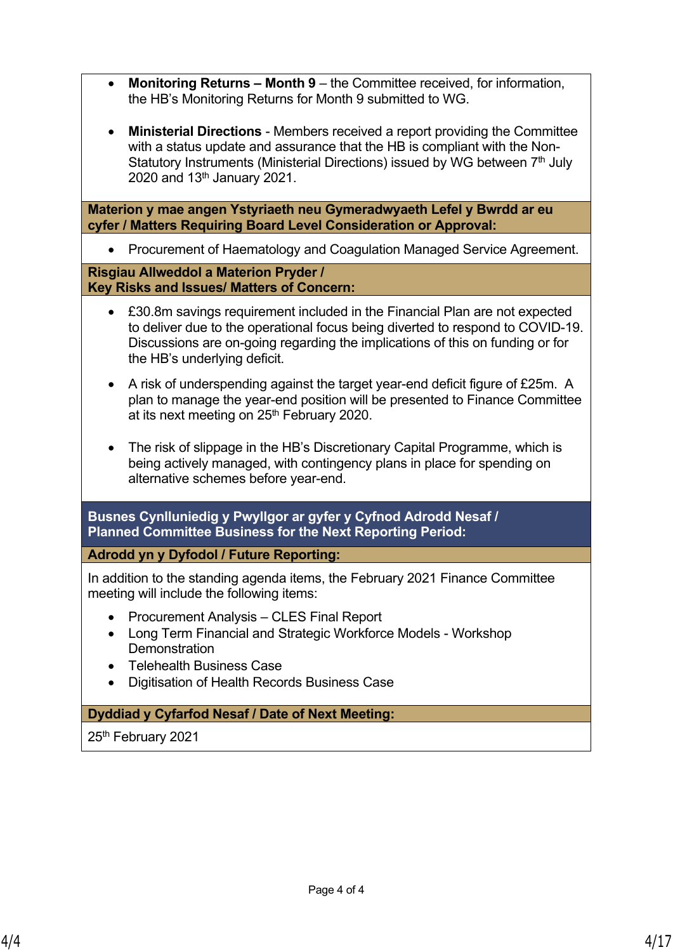- **Monitoring Returns Month 9** the Committee received, for information, the HB's Monitoring Returns for Month 9 submitted to WG.
- **Ministerial Directions** Members received a report providing the Committee with a status update and assurance that the HB is compliant with the Non-Statutory Instruments (Ministerial Directions) issued by WG between 7<sup>th</sup> July 2020 and 13<sup>th</sup> January 2021.

**Materion y mae angen Ystyriaeth neu Gymeradwyaeth Lefel y Bwrdd ar eu cyfer / Matters Requiring Board Level Consideration or Approval:**

• Procurement of Haematology and Coagulation Managed Service Agreement.

**Risgiau Allweddol a Materion Pryder / Key Risks and Issues/ Matters of Concern:**

- £30.8m savings requirement included in the Financial Plan are not expected to deliver due to the operational focus being diverted to respond to COVID-19. Discussions are on-going regarding the implications of this on funding or for the HB's underlying deficit.
- A risk of underspending against the target year-end deficit figure of £25m. A plan to manage the year-end position will be presented to Finance Committee at its next meeting on 25<sup>th</sup> February 2020.
- The risk of slippage in the HB's Discretionary Capital Programme, which is being actively managed, with contingency plans in place for spending on alternative schemes before year-end.

**Busnes Cynlluniedig y Pwyllgor ar gyfer y Cyfnod Adrodd Nesaf / Planned Committee Business for the Next Reporting Period:**

**Adrodd yn y Dyfodol / Future Reporting:**

In addition to the standing agenda items, the February 2021 Finance Committee meeting will include the following items:

- Procurement Analysis CLES Final Report
- Long Term Financial and Strategic Workforce Models Workshop **Demonstration**
- Telehealth Business Case
- Digitisation of Health Records Business Case

### **Dyddiad y Cyfarfod Nesaf / Date of Next Meeting:**

25<sup>th</sup> February 2021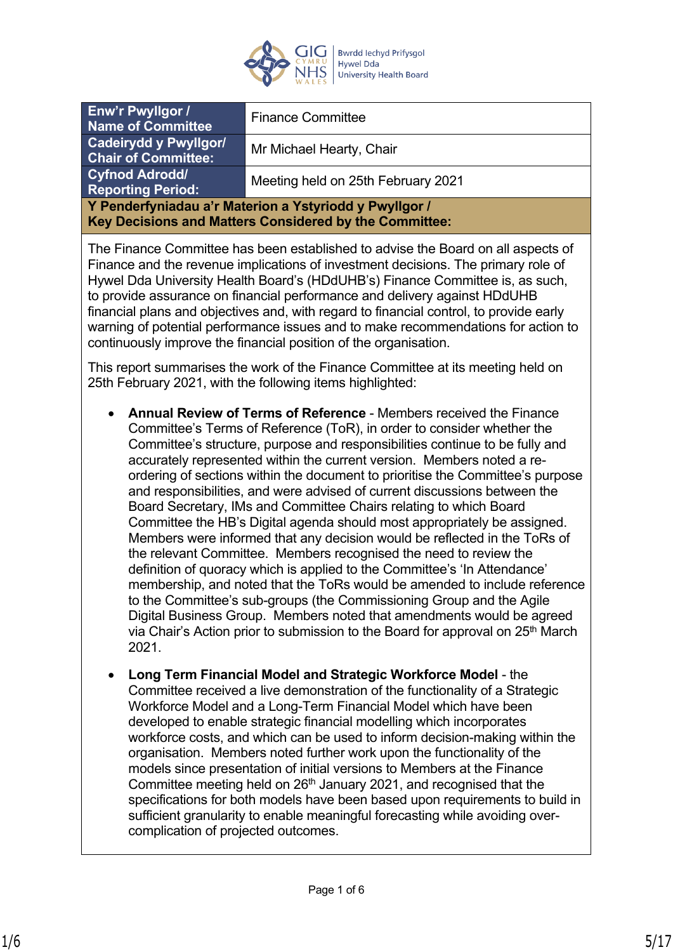

| Enw'r Pwyllgor /<br><b>Name of Committee</b>                                                                     | <b>Finance Committee</b>           |  |
|------------------------------------------------------------------------------------------------------------------|------------------------------------|--|
| Cadeirydd y Pwyllgor/<br><b>Chair of Committee:</b>                                                              | Mr Michael Hearty, Chair           |  |
| <b>Cyfnod Adrodd/</b><br><b>Reporting Period:</b>                                                                | Meeting held on 25th February 2021 |  |
| Y Penderfyniadau a'r Materion a Ystyriodd y Pwyllgor /<br>Key Decisions and Matters Considered by the Committee: |                                    |  |

The Finance Committee has been established to advise the Board on all aspects of Finance and the revenue implications of investment decisions. The primary role of Hywel Dda University Health Board's (HDdUHB's) Finance Committee is, as such, to provide assurance on financial performance and delivery against HDdUHB financial plans and objectives and, with regard to financial control, to provide early warning of potential performance issues and to make recommendations for action to continuously improve the financial position of the organisation.

This report summarises the work of the Finance Committee at its meeting held on 25th February 2021, with the following items highlighted:

- **Annual Review of Terms of Reference** Members received the Finance Committee's Terms of Reference (ToR), in order to consider whether the Committee's structure, purpose and responsibilities continue to be fully and accurately represented within the current version. Members noted a reordering of sections within the document to prioritise the Committee's purpose and responsibilities, and were advised of current discussions between the Board Secretary, IMs and Committee Chairs relating to which Board Committee the HB's Digital agenda should most appropriately be assigned. Members were informed that any decision would be reflected in the ToRs of the relevant Committee. Members recognised the need to review the definition of quoracy which is applied to the Committee's 'In Attendance' membership, and noted that the ToRs would be amended to include reference to the Committee's sub-groups (the Commissioning Group and the Agile Digital Business Group. Members noted that amendments would be agreed via Chair's Action prior to submission to the Board for approval on 25<sup>th</sup> March 2021.
- **Long Term Financial Model and Strategic Workforce Model** the Committee received a live demonstration of the functionality of a Strategic Workforce Model and a Long-Term Financial Model which have been developed to enable strategic financial modelling which incorporates workforce costs, and which can be used to inform decision-making within the organisation. Members noted further work upon the functionality of the models since presentation of initial versions to Members at the Finance Committee meeting held on 26<sup>th</sup> January 2021, and recognised that the specifications for both models have been based upon requirements to build in sufficient granularity to enable meaningful forecasting while avoiding overcomplication of projected outcomes.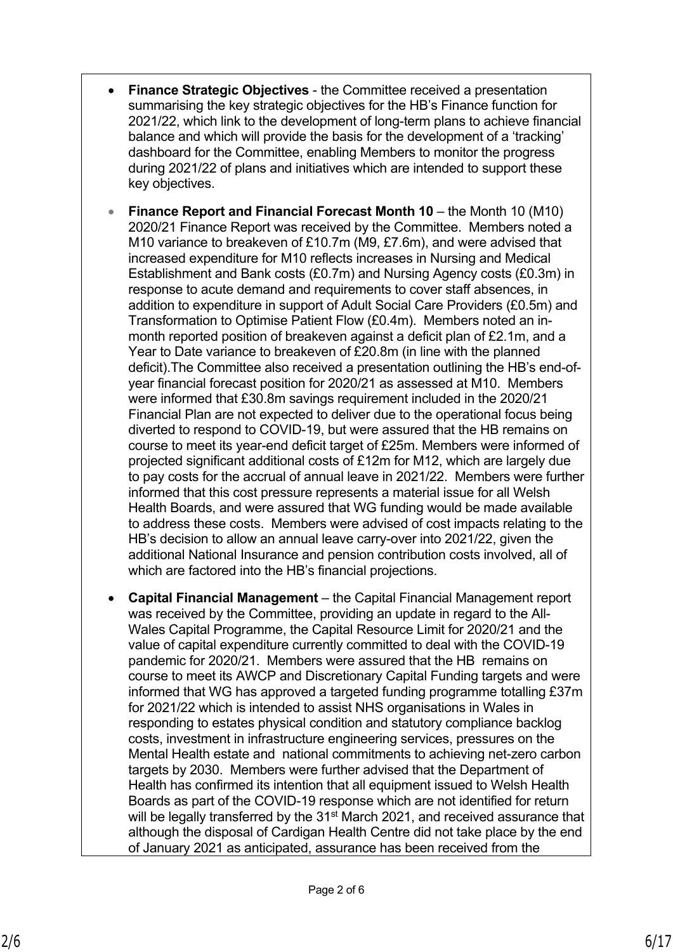- **Finance Strategic Objectives** the Committee received a presentation summarising the key strategic objectives for the HB's Finance function for 2021/22, which link to the development of long-term plans to achieve financial balance and which will provide the basis for the development of a 'tracking' dashboard for the Committee, enabling Members to monitor the progress during 2021/22 of plans and initiatives which are intended to support these key objectives.
- **Finance Report and Financial Forecast Month 10** the Month 10 (M10) 2020/21 Finance Report was received by the Committee. Members noted a M10 variance to breakeven of £10.7m (M9, £7.6m), and were advised that increased expenditure for M10 reflects increases in Nursing and Medical Establishment and Bank costs (£0.7m) and Nursing Agency costs (£0.3m) in response to acute demand and requirements to cover staff absences, in addition to expenditure in support of Adult Social Care Providers (£0.5m) and Transformation to Optimise Patient Flow (£0.4m). Members noted an inmonth reported position of breakeven against a deficit plan of £2.1m, and a Year to Date variance to breakeven of £20.8m (in line with the planned deficit).The Committee also received a presentation outlining the HB's end-ofyear financial forecast position for 2020/21 as assessed at M10. Members were informed that £30.8m savings requirement included in the 2020/21 Financial Plan are not expected to deliver due to the operational focus being diverted to respond to COVID-19, but were assured that the HB remains on course to meet its year-end deficit target of £25m. Members were informed of projected significant additional costs of £12m for M12, which are largely due to pay costs for the accrual of annual leave in 2021/22. Members were further informed that this cost pressure represents a material issue for all Welsh Health Boards, and were assured that WG funding would be made available to address these costs. Members were advised of cost impacts relating to the HB's decision to allow an annual leave carry-over into 2021/22, given the additional National Insurance and pension contribution costs involved, all of which are factored into the HB's financial projections.
- **Capital Financial Management**  the Capital Financial Management report was received by the Committee, providing an update in regard to the All-Wales Capital Programme, the Capital Resource Limit for 2020/21 and the value of capital expenditure currently committed to deal with the COVID-19 pandemic for 2020/21. Members were assured that the HB remains on course to meet its AWCP and Discretionary Capital Funding targets and were informed that WG has approved a targeted funding programme totalling £37m for 2021/22 which is intended to assist NHS organisations in Wales in responding to estates physical condition and statutory compliance backlog costs, investment in infrastructure engineering services, pressures on the Mental Health estate and national commitments to achieving net-zero carbon targets by 2030. Members were further advised that the Department of Health has confirmed its intention that all equipment issued to Welsh Health Boards as part of the COVID-19 response which are not identified for return will be legally transferred by the 31<sup>st</sup> March 2021, and received assurance that although the disposal of Cardigan Health Centre did not take place by the end of January 2021 as anticipated, assurance has been received from the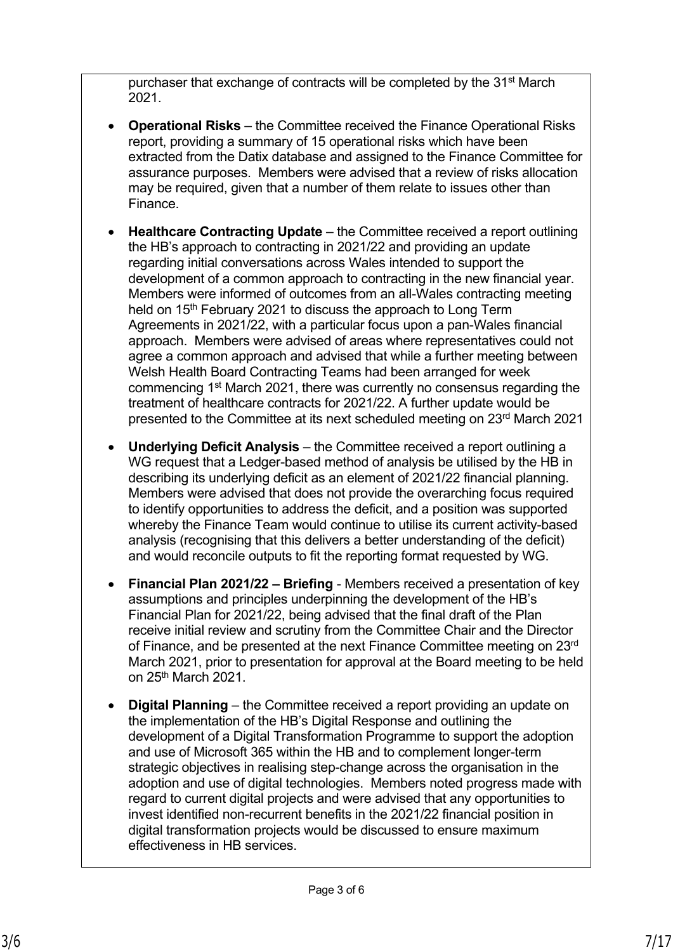purchaser that exchange of contracts will be completed by the 31st March 2021.

- **Operational Risks** the Committee received the Finance Operational Risks report, providing a summary of 15 operational risks which have been extracted from the Datix database and assigned to the Finance Committee for assurance purposes. Members were advised that a review of risks allocation may be required, given that a number of them relate to issues other than Finance.
- **Healthcare Contracting Update** the Committee received a report outlining the HB's approach to contracting in 2021/22 and providing an update regarding initial conversations across Wales intended to support the development of a common approach to contracting in the new financial year. Members were informed of outcomes from an all-Wales contracting meeting held on 15<sup>th</sup> February 2021 to discuss the approach to Long Term Agreements in 2021/22, with a particular focus upon a pan-Wales financial approach. Members were advised of areas where representatives could not agree a common approach and advised that while a further meeting between Welsh Health Board Contracting Teams had been arranged for week commencing 1st March 2021, there was currently no consensus regarding the treatment of healthcare contracts for 2021/22. A further update would be presented to the Committee at its next scheduled meeting on 23rd March 2021
- **Underlying Deficit Analysis** the Committee received a report outlining a WG request that a Ledger-based method of analysis be utilised by the HB in describing its underlying deficit as an element of 2021/22 financial planning. Members were advised that does not provide the overarching focus required to identify opportunities to address the deficit, and a position was supported whereby the Finance Team would continue to utilise its current activity-based analysis (recognising that this delivers a better understanding of the deficit) and would reconcile outputs to fit the reporting format requested by WG.
- **Financial Plan 2021/22 Briefing** Members received a presentation of key assumptions and principles underpinning the development of the HB's Financial Plan for 2021/22, being advised that the final draft of the Plan receive initial review and scrutiny from the Committee Chair and the Director of Finance, and be presented at the next Finance Committee meeting on 23rd March 2021, prior to presentation for approval at the Board meeting to be held on 25th March 2021.
- **Digital Planning** the Committee received a report providing an update on the implementation of the HB's Digital Response and outlining the development of a Digital Transformation Programme to support the adoption and use of Microsoft 365 within the HB and to complement longer-term strategic objectives in realising step-change across the organisation in the adoption and use of digital technologies. Members noted progress made with regard to current digital projects and were advised that any opportunities to invest identified non-recurrent benefits in the 2021/22 financial position in digital transformation projects would be discussed to ensure maximum effectiveness in HB services.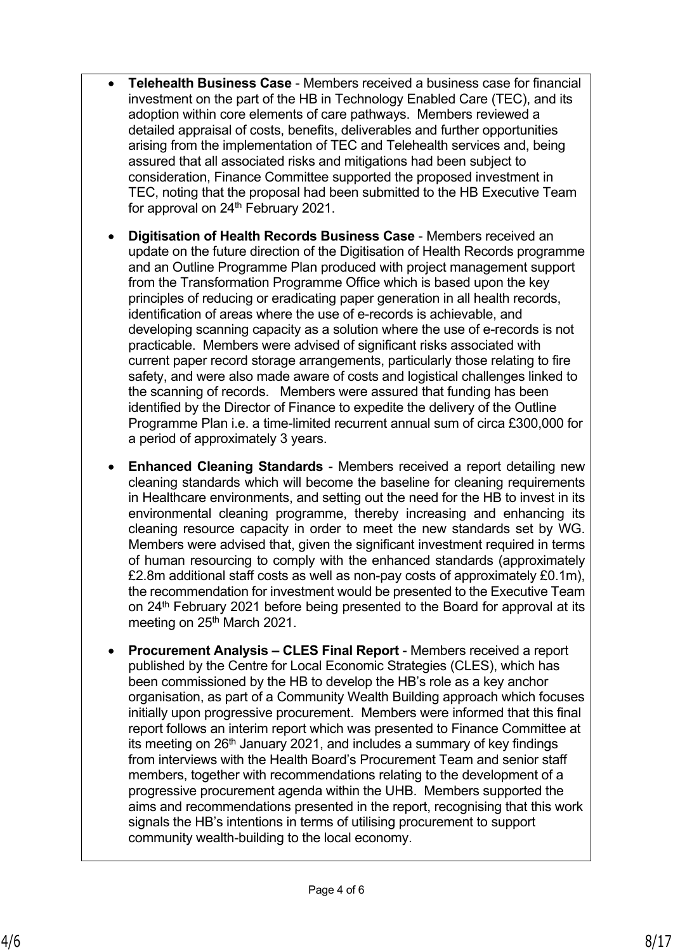- **Telehealth Business Case** Members received a business case for financial investment on the part of the HB in Technology Enabled Care (TEC), and its adoption within core elements of care pathways. Members reviewed a detailed appraisal of costs, benefits, deliverables and further opportunities arising from the implementation of TEC and Telehealth services and, being assured that all associated risks and mitigations had been subject to consideration, Finance Committee supported the proposed investment in TEC, noting that the proposal had been submitted to the HB Executive Team for approval on 24<sup>th</sup> February 2021.
- **Digitisation of Health Records Business Case** Members received an update on the future direction of the Digitisation of Health Records programme and an Outline Programme Plan produced with project management support from the Transformation Programme Office which is based upon the key principles of reducing or eradicating paper generation in all health records, identification of areas where the use of e-records is achievable, and developing scanning capacity as a solution where the use of e-records is not practicable. Members were advised of significant risks associated with current paper record storage arrangements, particularly those relating to fire safety, and were also made aware of costs and logistical challenges linked to the scanning of records. Members were assured that funding has been identified by the Director of Finance to expedite the delivery of the Outline Programme Plan i.e. a time-limited recurrent annual sum of circa £300,000 for a period of approximately 3 years.
- **Enhanced Cleaning Standards** Members received a report detailing new cleaning standards which will become the baseline for cleaning requirements in Healthcare environments, and setting out the need for the HB to invest in its environmental cleaning programme, thereby increasing and enhancing its cleaning resource capacity in order to meet the new standards set by WG. Members were advised that, given the significant investment required in terms of human resourcing to comply with the enhanced standards (approximately £2.8m additional staff costs as well as non-pay costs of approximately £0.1m), the recommendation for investment would be presented to the Executive Team on 24<sup>th</sup> February 2021 before being presented to the Board for approval at its meeting on 25<sup>th</sup> March 2021.
- **Procurement Analysis CLES Final Report** Members received a report published by the Centre for Local Economic Strategies (CLES), which has been commissioned by the HB to develop the HB's role as a key anchor organisation, as part of a Community Wealth Building approach which focuses initially upon progressive procurement. Members were informed that this final report follows an interim report which was presented to Finance Committee at its meeting on  $26<sup>th</sup>$  January 2021, and includes a summary of key findings from interviews with the Health Board's Procurement Team and senior staff members, together with recommendations relating to the development of a progressive procurement agenda within the UHB. Members supported the aims and recommendations presented in the report, recognising that this work signals the HB's intentions in terms of utilising procurement to support community wealth-building to the local economy.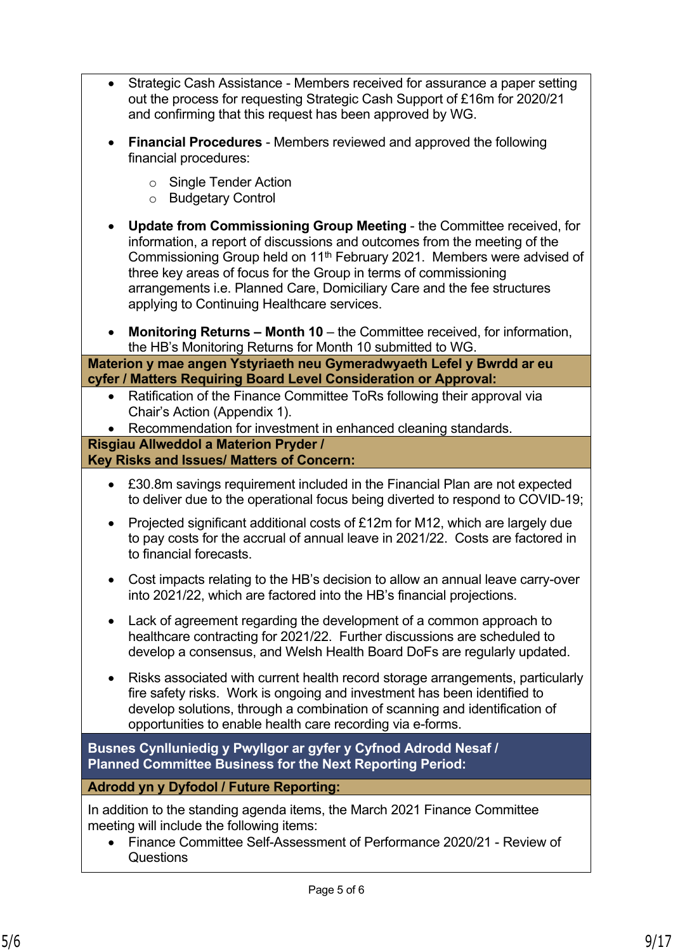- Strategic Cash Assistance Members received for assurance a paper setting out the process for requesting Strategic Cash Support of £16m for 2020/21 and confirming that this request has been approved by WG.
- **Financial Procedures** Members reviewed and approved the following financial procedures:
	- o Single Tender Action
	- o Budgetary Control
- **Update from Commissioning Group Meeting**  the Committee received, for information, a report of discussions and outcomes from the meeting of the Commissioning Group held on 11th February 2021. Members were advised of three key areas of focus for the Group in terms of commissioning arrangements i.e. Planned Care, Domiciliary Care and the fee structures applying to Continuing Healthcare services.
- **Monitoring Returns Month 10** the Committee received, for information, the HB's Monitoring Returns for Month 10 submitted to WG.

**Materion y mae angen Ystyriaeth neu Gymeradwyaeth Lefel y Bwrdd ar eu cyfer / Matters Requiring Board Level Consideration or Approval:**

- Ratification of the Finance Committee ToRs following their approval via Chair's Action (Appendix 1).
- Recommendation for investment in enhanced cleaning standards.

#### **Risgiau Allweddol a Materion Pryder / Key Risks and Issues/ Matters of Concern:**

- £30.8m savings requirement included in the Financial Plan are not expected to deliver due to the operational focus being diverted to respond to COVID-19;
- Projected significant additional costs of £12m for M12, which are largely due to pay costs for the accrual of annual leave in 2021/22. Costs are factored in to financial forecasts.
- Cost impacts relating to the HB's decision to allow an annual leave carry-over into 2021/22, which are factored into the HB's financial projections.
- Lack of agreement regarding the development of a common approach to healthcare contracting for 2021/22. Further discussions are scheduled to develop a consensus, and Welsh Health Board DoFs are regularly updated.
- Risks associated with current health record storage arrangements, particularly fire safety risks. Work is ongoing and investment has been identified to develop solutions, through a combination of scanning and identification of opportunities to enable health care recording via e-forms.

**Busnes Cynlluniedig y Pwyllgor ar gyfer y Cyfnod Adrodd Nesaf / Planned Committee Business for the Next Reporting Period:**

## **Adrodd yn y Dyfodol / Future Reporting:**

In addition to the standing agenda items, the March 2021 Finance Committee meeting will include the following items:

 Finance Committee Self-Assessment of Performance 2020/21 - Review of **Questions**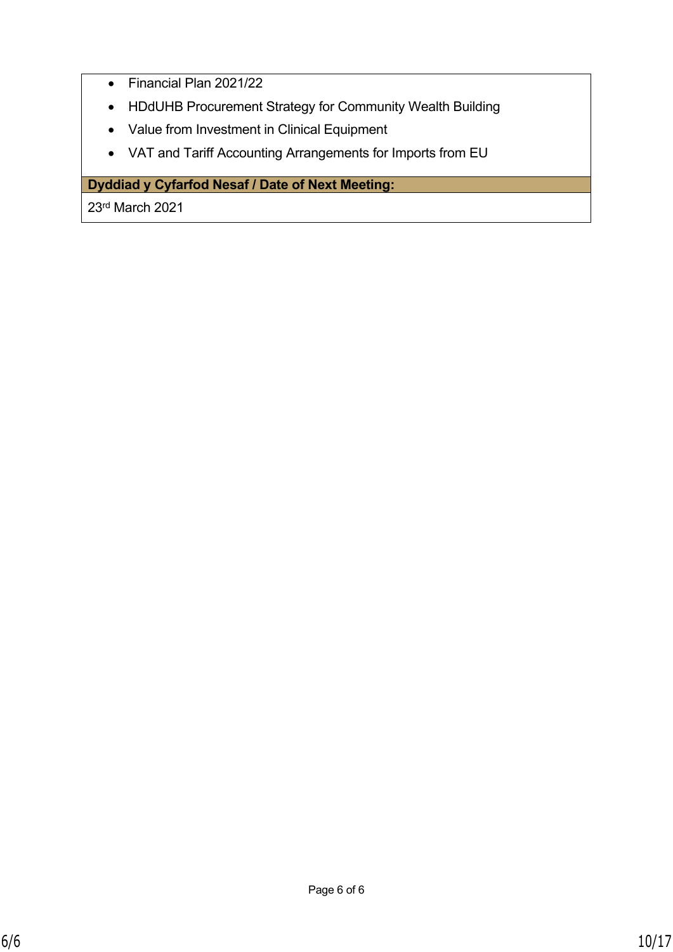- Financial Plan 2021/22
- HDdUHB Procurement Strategy for Community Wealth Building
- Value from Investment in Clinical Equipment
- VAT and Tariff Accounting Arrangements for Imports from EU

## **Dyddiad y Cyfarfod Nesaf / Date of Next Meeting:**

23rd March 2021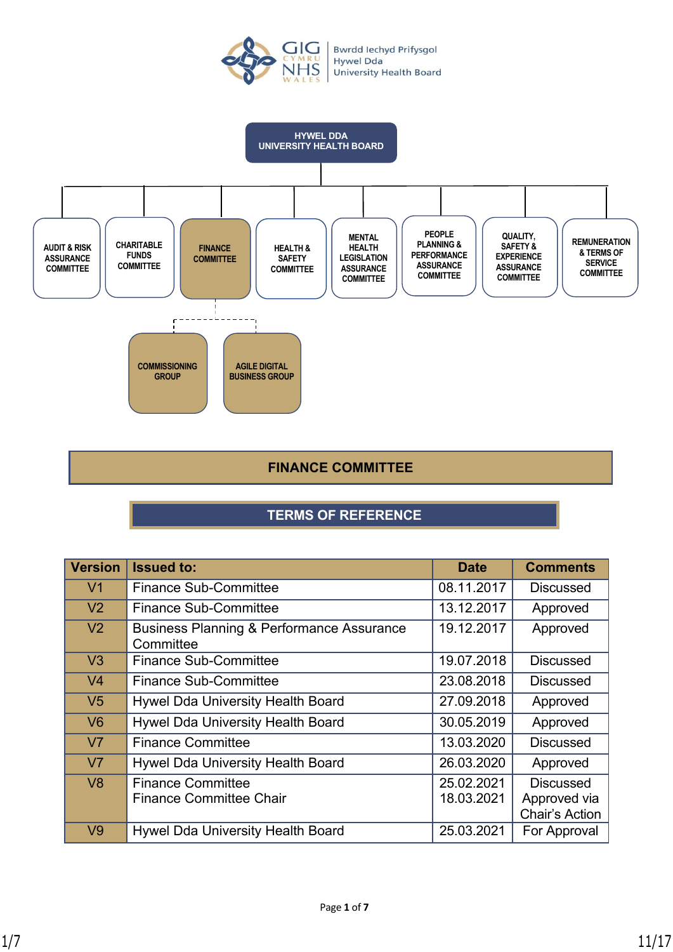



### **FINANCE COMMITTEE**

## **TERMS OF REFERENCE**

| <b>Version</b> | <b>Issued to:</b>                                                 | <b>Date</b> | <b>Comments</b>                |
|----------------|-------------------------------------------------------------------|-------------|--------------------------------|
| V <sub>1</sub> | <b>Finance Sub-Committee</b>                                      | 08.11.2017  | <b>Discussed</b>               |
| V <sub>2</sub> | <b>Finance Sub-Committee</b>                                      | 13.12.2017  | Approved                       |
| V <sub>2</sub> | <b>Business Planning &amp; Performance Assurance</b><br>Committee | 19.12.2017  | Approved                       |
| V <sub>3</sub> | <b>Finance Sub-Committee</b>                                      | 19.07.2018  | <b>Discussed</b>               |
| V <sub>4</sub> | <b>Finance Sub-Committee</b>                                      | 23.08.2018  | <b>Discussed</b>               |
| V <sub>5</sub> | Hywel Dda University Health Board                                 | 27.09.2018  | Approved                       |
| V <sub>6</sub> | Hywel Dda University Health Board                                 | 30.05.2019  | Approved                       |
| V <sub>7</sub> | <b>Finance Committee</b>                                          | 13.03.2020  | <b>Discussed</b>               |
| V <sub>7</sub> | Hywel Dda University Health Board                                 | 26.03.2020  | Approved                       |
| V8             | <b>Finance Committee</b>                                          | 25.02.2021  | <b>Discussed</b>               |
|                | <b>Finance Committee Chair</b>                                    | 18.03.2021  | Approved via<br>Chair's Action |
| V <sub>9</sub> | Hywel Dda University Health Board                                 | 25.03.2021  | For Approval                   |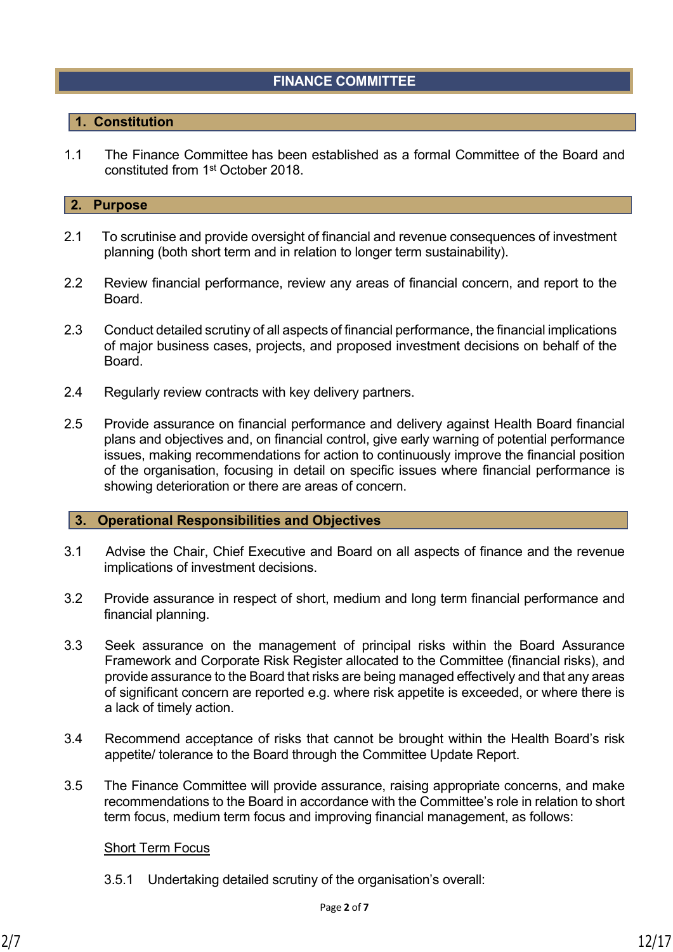## **FINANCE COMMITTEE**

### **1. Constitution**

1.1 The Finance Committee has been established as a formal Committee of the Board and constituted from 1st October 2018.

### **2. Purpose**

- 2.1 To scrutinise and provide oversight of financial and revenue consequences of investment planning (both short term and in relation to longer term sustainability).
- 2.2 Review financial performance, review any areas of financial concern, and report to the Board.
- 2.3 Conduct detailed scrutiny of all aspects of financial performance, the financial implications of major business cases, projects, and proposed investment decisions on behalf of the Board.
- 2.4 Regularly review contracts with key delivery partners.
- 2.5 Provide assurance on financial performance and delivery against Health Board financial plans and objectives and, on financial control, give early warning of potential performance issues, making recommendations for action to continuously improve the financial position of the organisation, focusing in detail on specific issues where financial performance is showing deterioration or there are areas of concern.

#### **3. Operational Responsibilities and Objectives**

- 3.1 Advise the Chair, Chief Executive and Board on all aspects of finance and the revenue implications of investment decisions.
- 3.2 Provide assurance in respect of short, medium and long term financial performance and financial planning.
- 3.3 Seek assurance on the management of principal risks within the Board Assurance Framework and Corporate Risk Register allocated to the Committee (financial risks), and provide assurance to the Board that risks are being managed effectively and that any areas of significant concern are reported e.g. where risk appetite is exceeded, or where there is a lack of timely action.
- 3.4 Recommend acceptance of risks that cannot be brought within the Health Board's risk appetite/ tolerance to the Board through the Committee Update Report.
- 3.5 The Finance Committee will provide assurance, raising appropriate concerns, and make recommendations to the Board in accordance with the Committee's role in relation to short term focus, medium term focus and improving financial management, as follows:

### Short Term Focus

3.5.1 Undertaking detailed scrutiny of the organisation's overall: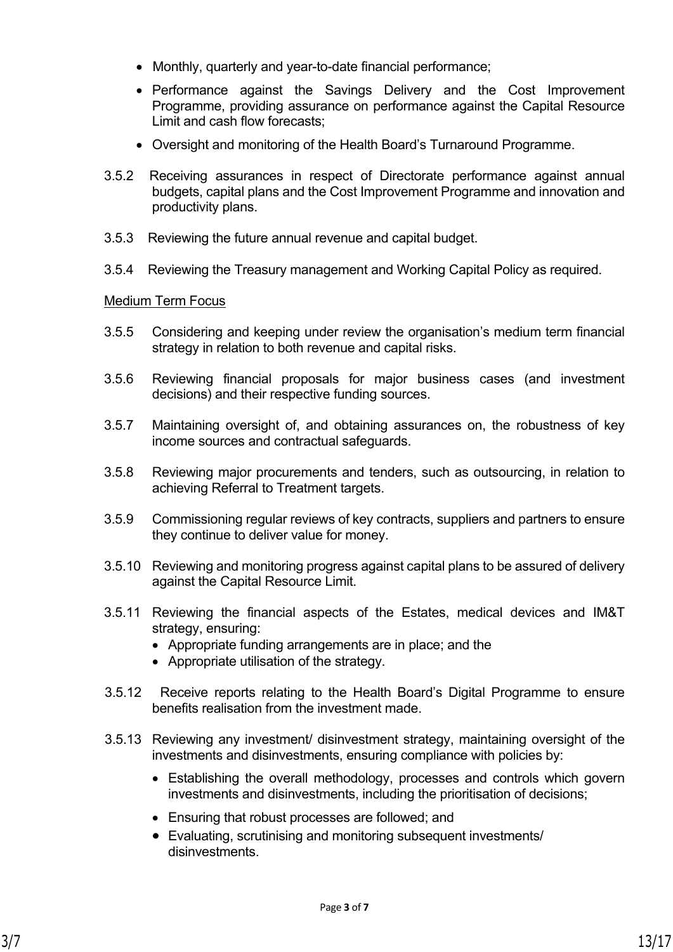- Monthly, quarterly and year-to-date financial performance;
- Performance against the Savings Delivery and the Cost Improvement Programme, providing assurance on performance against the Capital Resource Limit and cash flow forecasts;
- Oversight and monitoring of the Health Board's Turnaround Programme.
- 3.5.2 Receiving assurances in respect of Directorate performance against annual budgets, capital plans and the Cost Improvement Programme and innovation and productivity plans.
- 3.5.3 Reviewing the future annual revenue and capital budget.
- 3.5.4 Reviewing the Treasury management and Working Capital Policy as required.

### Medium Term Focus

- 3.5.5 Considering and keeping under review the organisation's medium term financial strategy in relation to both revenue and capital risks.
- 3.5.6 Reviewing financial proposals for major business cases (and investment decisions) and their respective funding sources.
- 3.5.7 Maintaining oversight of, and obtaining assurances on, the robustness of key income sources and contractual safeguards.
- 3.5.8 Reviewing major procurements and tenders, such as outsourcing, in relation to achieving Referral to Treatment targets.
- 3.5.9 Commissioning regular reviews of key contracts, suppliers and partners to ensure they continue to deliver value for money.
- 3.5.10 Reviewing and monitoring progress against capital plans to be assured of delivery against the Capital Resource Limit.
- 3.5.11 Reviewing the financial aspects of the Estates, medical devices and IM&T strategy, ensuring:
	- Appropriate funding arrangements are in place; and the
	- Appropriate utilisation of the strategy.
- 3.5.12 Receive reports relating to the Health Board's Digital Programme to ensure benefits realisation from the investment made.
- 3.5.13 Reviewing any investment/ disinvestment strategy, maintaining oversight of the investments and disinvestments, ensuring compliance with policies by:
	- Establishing the overall methodology, processes and controls which govern investments and disinvestments, including the prioritisation of decisions;
	- Ensuring that robust processes are followed; and
	- Evaluating, scrutinising and monitoring subsequent investments/ disinvestments.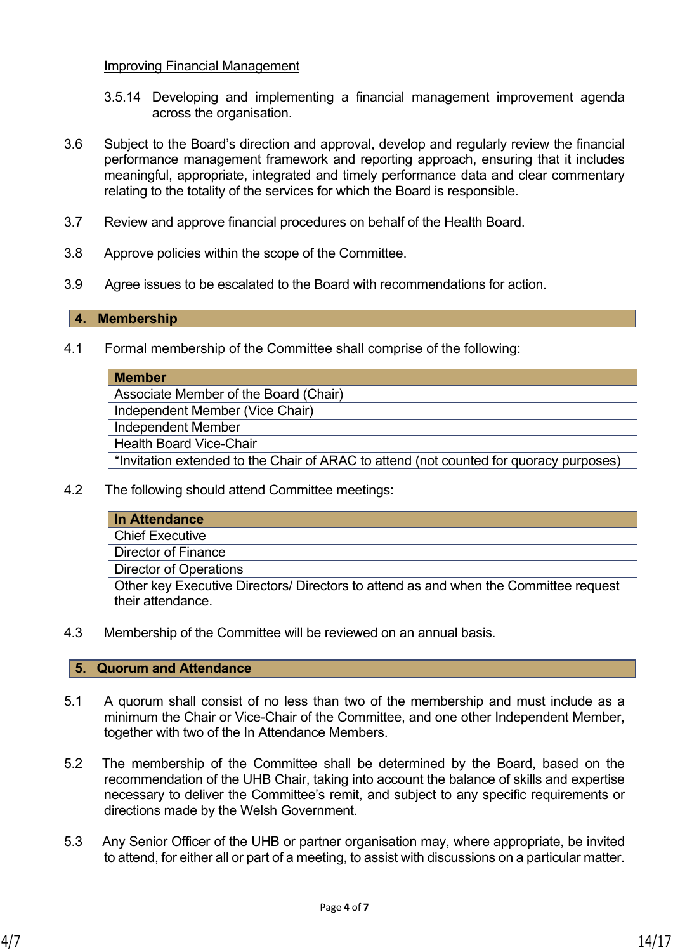### Improving Financial Management

- 3.5.14 Developing and implementing a financial management improvement agenda across the organisation.
- 3.6 Subject to the Board's direction and approval, develop and regularly review the financial performance management framework and reporting approach, ensuring that it includes meaningful, appropriate, integrated and timely performance data and clear commentary relating to the totality of the services for which the Board is responsible.
- 3.7 Review and approve financial procedures on behalf of the Health Board.
- 3.8 Approve policies within the scope of the Committee.
- 3.9 Agree issues to be escalated to the Board with recommendations for action.

### **4. Membership**

4.1 Formal membership of the Committee shall comprise of the following:

| <b>Member</b>                                                                          |
|----------------------------------------------------------------------------------------|
| Associate Member of the Board (Chair)                                                  |
| Independent Member (Vice Chair)                                                        |
| <b>Independent Member</b>                                                              |
| <b>Health Board Vice-Chair</b>                                                         |
| *Invitation extended to the Chair of ARAC to attend (not counted for quoracy purposes) |
|                                                                                        |

4.2 The following should attend Committee meetings:

| In Attendance                                                                        |
|--------------------------------------------------------------------------------------|
| <b>Chief Executive</b>                                                               |
| <b>Director of Finance</b>                                                           |
| <b>Director of Operations</b>                                                        |
| Other key Executive Directors/ Directors to attend as and when the Committee request |
| their attendance.                                                                    |

4.3 Membership of the Committee will be reviewed on an annual basis.

#### **5. Quorum and Attendance**

- 5.1 A quorum shall consist of no less than two of the membership and must include as a minimum the Chair or Vice-Chair of the Committee, and one other Independent Member, together with two of the In Attendance Members.
- 5.2 The membership of the Committee shall be determined by the Board, based on the recommendation of the UHB Chair, taking into account the balance of skills and expertise necessary to deliver the Committee's remit, and subject to any specific requirements or directions made by the Welsh Government.
- 5.3 Any Senior Officer of the UHB or partner organisation may, where appropriate, be invited to attend, for either all or part of a meeting, to assist with discussions on a particular matter.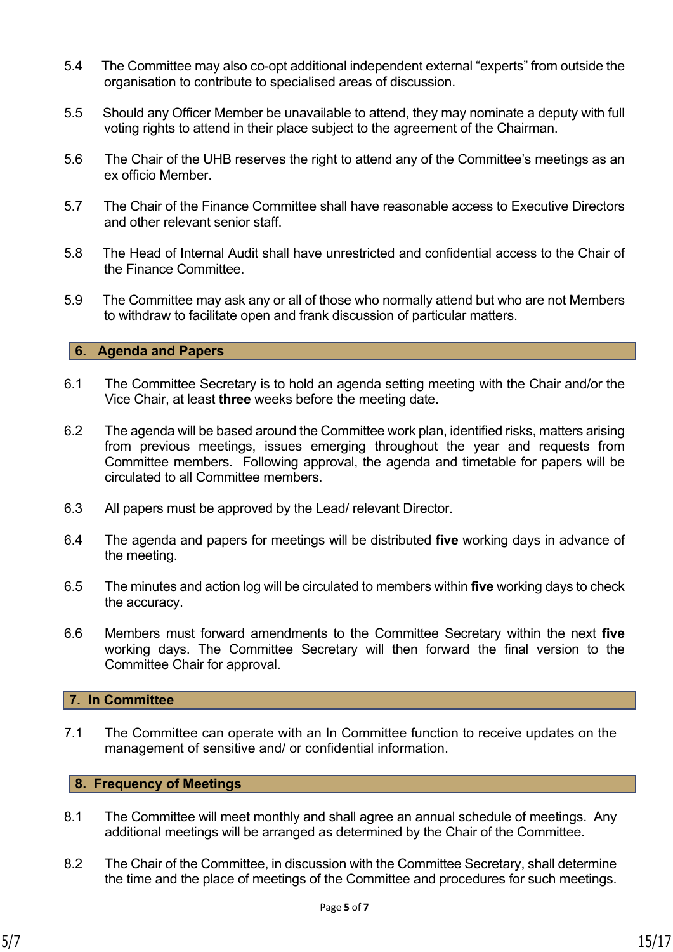- 5.4 The Committee may also co-opt additional independent external "experts" from outside the organisation to contribute to specialised areas of discussion.
- 5.5 Should any Officer Member be unavailable to attend, they may nominate a deputy with full voting rights to attend in their place subject to the agreement of the Chairman.
- 5.6 The Chair of the UHB reserves the right to attend any of the Committee's meetings as an ex officio Member.
- 5.7 The Chair of the Finance Committee shall have reasonable access to Executive Directors and other relevant senior staff.
- 5.8 The Head of Internal Audit shall have unrestricted and confidential access to the Chair of the Finance Committee.
- 5.9 The Committee may ask any or all of those who normally attend but who are not Members to withdraw to facilitate open and frank discussion of particular matters.

### **6. Agenda and Papers**

- 6.1 The Committee Secretary is to hold an agenda setting meeting with the Chair and/or the Vice Chair, at least **three** weeks before the meeting date.
- 6.2 The agenda will be based around the Committee work plan, identified risks, matters arising from previous meetings, issues emerging throughout the year and requests from Committee members. Following approval, the agenda and timetable for papers will be circulated to all Committee members.
- 6.3 All papers must be approved by the Lead/ relevant Director.
- 6.4 The agenda and papers for meetings will be distributed **five** working days in advance of the meeting.
- 6.5 The minutes and action log will be circulated to members within **five** working days to check the accuracy.
- 6.6 Members must forward amendments to the Committee Secretary within the next **five** working days. The Committee Secretary will then forward the final version to the Committee Chair for approval.

### **7. In Committee**

7.1 The Committee can operate with an In Committee function to receive updates on the management of sensitive and/ or confidential information.

### **8. Frequency of Meetings**

- 8.1 The Committee will meet monthly and shall agree an annual schedule of meetings. Any additional meetings will be arranged as determined by the Chair of the Committee.
- 8.2 The Chair of the Committee, in discussion with the Committee Secretary, shall determine the time and the place of meetings of the Committee and procedures for such meetings.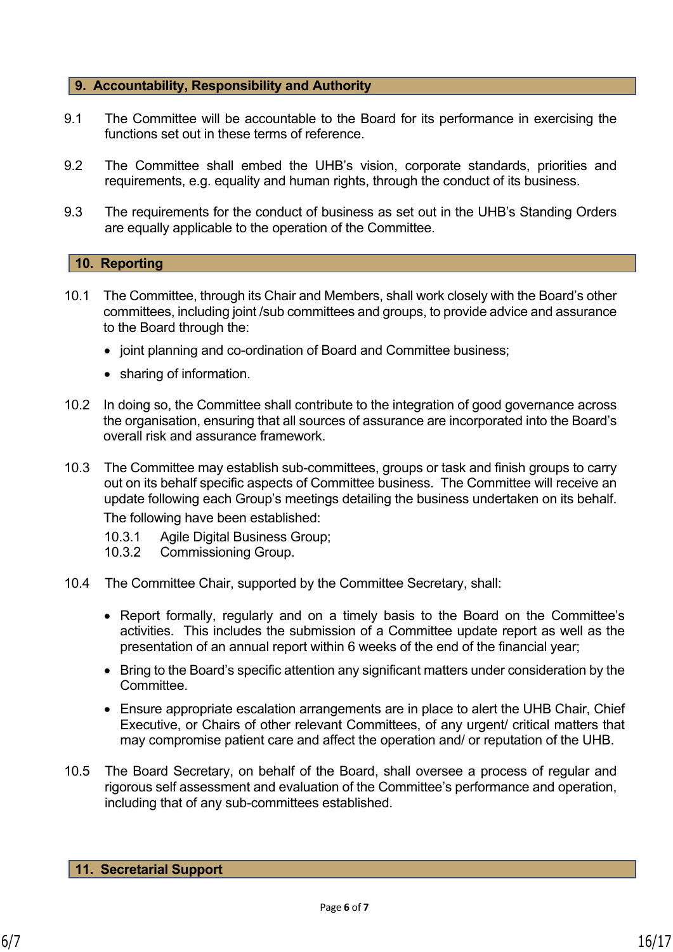### **9. Accountability, Responsibility and Authority**

- 9.1 The Committee will be accountable to the Board for its performance in exercising the functions set out in these terms of reference.
- 9.2 The Committee shall embed the UHB's vision, corporate standards, priorities and requirements, e.g. equality and human rights, through the conduct of its business.
- 9.3 The requirements for the conduct of business as set out in the UHB's Standing Orders are equally applicable to the operation of the Committee.

#### **10. Reporting**

- 10.1 The Committee, through its Chair and Members, shall work closely with the Board's other committees, including joint /sub committees and groups, to provide advice and assurance to the Board through the:
	- joint planning and co-ordination of Board and Committee business;
	- sharing of information.
- 10.2 In doing so, the Committee shall contribute to the integration of good governance across the organisation, ensuring that all sources of assurance are incorporated into the Board's overall risk and assurance framework.
- 10.3 The Committee may establish sub-committees, groups or task and finish groups to carry out on its behalf specific aspects of Committee business. The Committee will receive an update following each Group's meetings detailing the business undertaken on its behalf. The following have been established:
	- 10.3.1 Agile Digital Business Group;
	- 10.3.2 Commissioning Group.
- 10.4 The Committee Chair, supported by the Committee Secretary, shall:
	- Report formally, regularly and on a timely basis to the Board on the Committee's activities. This includes the submission of a Committee update report as well as the presentation of an annual report within 6 weeks of the end of the financial year;
	- Bring to the Board's specific attention any significant matters under consideration by the Committee.
	- Ensure appropriate escalation arrangements are in place to alert the UHB Chair, Chief Executive, or Chairs of other relevant Committees, of any urgent/ critical matters that may compromise patient care and affect the operation and/ or reputation of the UHB.
- 10.5 The Board Secretary, on behalf of the Board, shall oversee a process of regular and rigorous self assessment and evaluation of the Committee's performance and operation, including that of any sub-committees established.